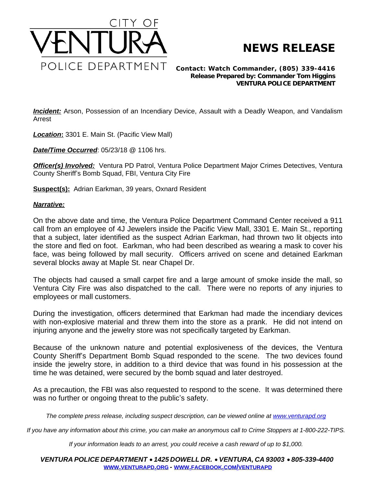

## **NEWS RELEASE**

## *Contact: Watch Commander, (805) 339-4416 Release Prepared by: Commander Tom Higgins* **VENTURA POLICE DEPARTMENT**

**Incident:** Arson, Possession of an Incendiary Device, Assault with a Deadly Weapon, and Vandalism Arrest

*Location***:** 3301 E. Main St. (Pacific View Mall)

*Date/Time Occurred*: 05/23/18 @ 1106 hrs.

**Officer(s) Involved:** Ventura PD Patrol, Ventura Police Department Major Crimes Detectives, Ventura County Sheriff's Bomb Squad, FBI, Ventura City Fire

**Suspect(s):** Adrian Earkman, 39 years, Oxnard Resident

## *Narrative:*

On the above date and time, the Ventura Police Department Command Center received a 911 call from an employee of 4J Jewelers inside the Pacific View Mall, 3301 E. Main St., reporting that a subject, later identified as the suspect Adrian Earkman, had thrown two lit objects into the store and fled on foot. Earkman, who had been described as wearing a mask to cover his face, was being followed by mall security. Officers arrived on scene and detained Earkman several blocks away at Maple St. near Chapel Dr.

The objects had caused a small carpet fire and a large amount of smoke inside the mall, so Ventura City Fire was also dispatched to the call. There were no reports of any injuries to employees or mall customers.

During the investigation, officers determined that Earkman had made the incendiary devices with non-explosive material and threw them into the store as a prank. He did not intend on injuring anyone and the jewelry store was not specifically targeted by Earkman.

Because of the unknown nature and potential explosiveness of the devices, the Ventura County Sheriff's Department Bomb Squad responded to the scene. The two devices found inside the jewelry store, in addition to a third device that was found in his possession at the time he was detained, were secured by the bomb squad and later destroyed.

As a precaution, the FBI was also requested to respond to the scene. It was determined there was no further or ongoing threat to the public's safety.

The complete press release, including suspect description, can be viewed online at [www.venturapd.org](http://www.venturapd.org)

*If you have any information about this crime, you can make an anonymous call to Crime Stoppers at 1-800-222-TIPS.*

*If your information leads to an arrest, you could receive a cash reward of up to \$1,000.*

*VENTURA POLICE DEPARTMENT* · *1425 DOWELL DR.* · *VENTURA, CA 93003* · *805-339-4400* **WWW.[VENTURAPD](http://www.venturapd.org).ORG** *-* **WWW.FACEBOOK.COM/[VENTURAPD](http://www.facebook.com/venturapd)**